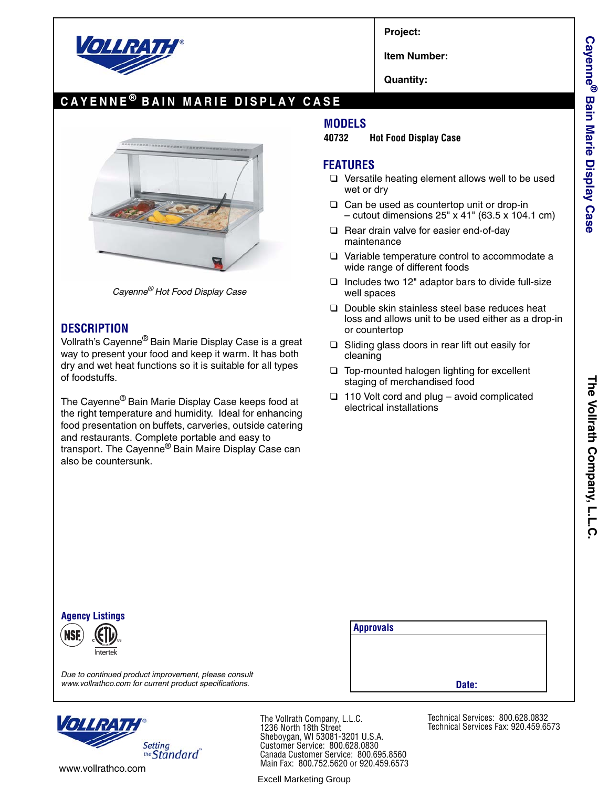

**Project:**

**Item Number:**

**Quantity:**

# **CAYENNE ® BAIN MARIE DISPLAY CASE**



*Cayenne® Hot Food Display Case*

#### **DESCRIPTION**

Vollrath's Cayenne® Bain Marie Display Case is a great way to present your food and keep it warm. It has both dry and wet heat functions so it is suitable for all types of foodstuffs.

The Cayenne® Bain Marie Display Case keeps food at the right temperature and humidity. Ideal for enhancing food presentation on buffets, carveries, outside catering and restaurants. Complete portable and easy to transport. The Cayenne® Bain Maire Display Case can also be countersunk.

### **MODELS**

**40732 Hot Food Display Case**

#### **FEATURES**

- ❑ Versatile heating element allows well to be used wet or dry
- ❑ Can be used as countertop unit or drop-in – cutout dimensions 25" x 41" (63.5 x 104.1 cm)
- ❑ Rear drain valve for easier end-of-day maintenance
- ❑ Variable temperature control to accommodate a wide range of different foods
- ❑ Includes two 12" adaptor bars to divide full-size well spaces
- ❑ Double skin stainless steel base reduces heat loss and allows unit to be used either as a drop-in or countertop
- ❑ Sliding glass doors in rear lift out easily for cleaning
- ❑ Top-mounted halogen lighting for excellent staging of merchandised food
- ❑ 110 Volt cord and plug avoid complicated electrical installations

**Cayenne**

**® Bain Marie Display Case**



*Due to continued product improvement, please consult*

| <b>Approvals</b> |       |  |
|------------------|-------|--|
|                  |       |  |
|                  |       |  |
|                  |       |  |
|                  | Date: |  |

*www.vollrathco.com for current product specifications.*



www.vollrathco.com

The Vollrath Company, L.L.C. 1236 North 18th Street Sheboygan, WI 53081-3201 U.S.A. Customer Service: 800.628.0830 Canada Customer Service: 800.695.8560 Main Fax: 800.752.5620 or 920.459.6573

Excell Marketing Group

Technical Services: 800.628.0832 Technical Services Fax: 920.459.6573